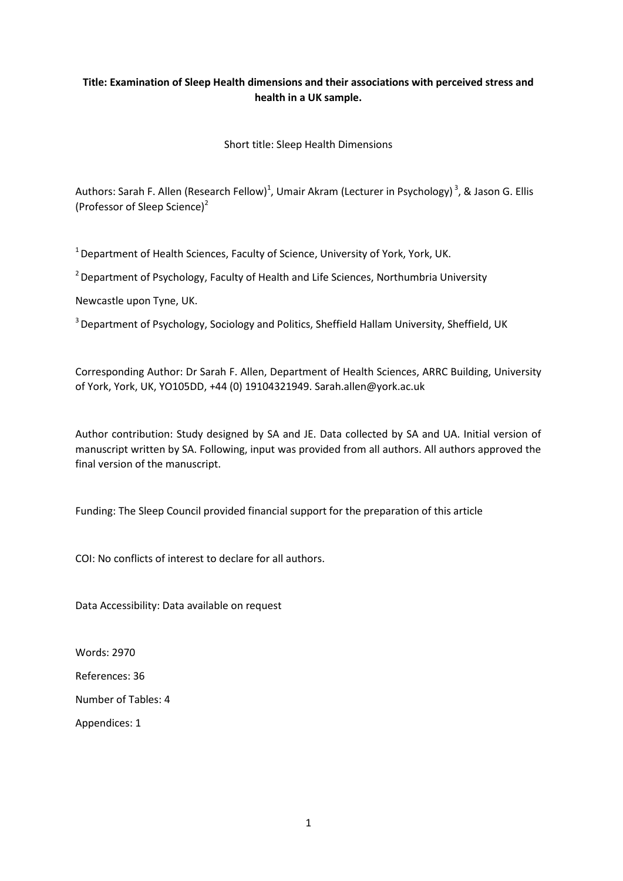# **Title: Examination of Sleep Health dimensions and their associations with perceived stress and health in a UK sample.**

Short title: Sleep Health Dimensions

Authors: Sarah F. Allen (Research Fellow)<sup>1</sup>, Umair Akram (Lecturer in Psychology)<sup>3</sup>, & Jason G. Ellis (Professor of Sleep Science)<sup>2</sup>

 $1$  Department of Health Sciences, Faculty of Science, University of York, York, UK.

 $2$  Department of Psychology, Faculty of Health and Life Sciences, Northumbria University

Newcastle upon Tyne, UK.

<sup>3</sup> Department of Psychology, Sociology and Politics, Sheffield Hallam University, Sheffield, UK

Corresponding Author: Dr Sarah F. Allen, Department of Health Sciences, ARRC Building, University of York, York, UK, YO105DD, +44 (0) 19104321949. Sarah.allen@york.ac.uk

Author contribution: Study designed by SA and JE. Data collected by SA and UA. Initial version of manuscript written by SA. Following, input was provided from all authors. All authors approved the final version of the manuscript.

Funding: The Sleep Council provided financial support for the preparation of this article

COI: No conflicts of interest to declare for all authors.

Data Accessibility: Data available on request

Words: 2970

References: 36

Number of Tables: 4

Appendices: 1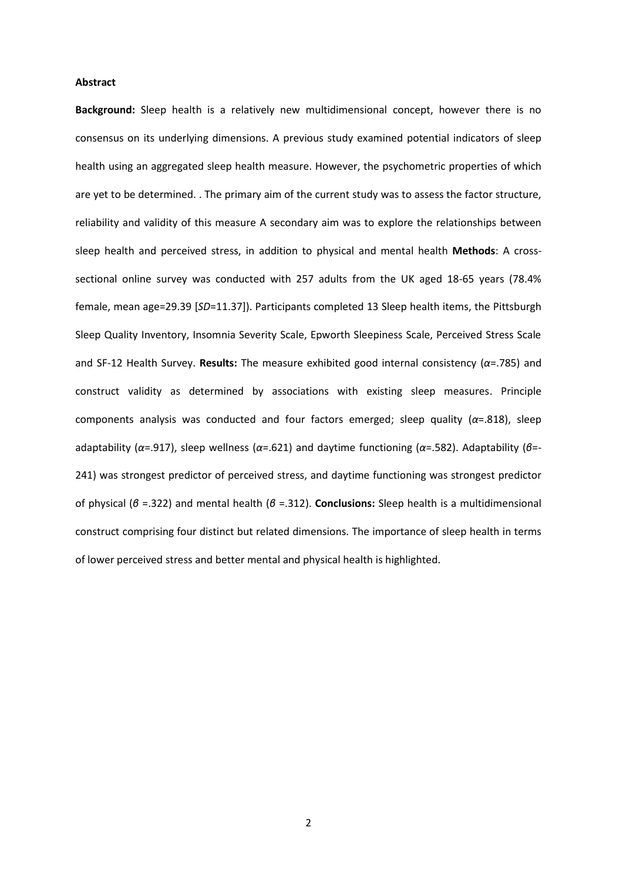### **Abstract**

**Background:** Sleep health is a relatively new multidimensional concept, however there is no consensus on its underlying dimensions. A previous study examined potential indicators of sleep health using an aggregated sleep health measure. However, the psychometric properties of which are yet to be determined. . The primary aim of the current study was to assess the factor structure, reliability and validity of this measure A secondary aim was to explore the relationships between sleep health and perceived stress, in addition to physical and mental health **Methods**: A crosssectional online survey was conducted with 257 adults from the UK aged 18-65 years (78.4% female, mean age=29.39 [*SD*=11.37]). Participants completed 13 Sleep health items, the Pittsburgh Sleep Quality Inventory, Insomnia Severity Scale, Epworth Sleepiness Scale, Perceived Stress Scale and SF-12 Health Survey. **Results:** The measure exhibited good internal consistency (*α*=.785) and construct validity as determined by associations with existing sleep measures. Principle components analysis was conducted and four factors emerged; sleep quality (*α*=.818), sleep adaptability (*α*=.917), sleep wellness (*α*=.621) and daytime functioning (*α*=.582). Adaptability (*β*=- 241) was strongest predictor of perceived stress, and daytime functioning was strongest predictor of physical (*β* =.322) and mental health (*β* =.312). **Conclusions:** Sleep health is a multidimensional construct comprising four distinct but related dimensions. The importance of sleep health in terms of lower perceived stress and better mental and physical health is highlighted.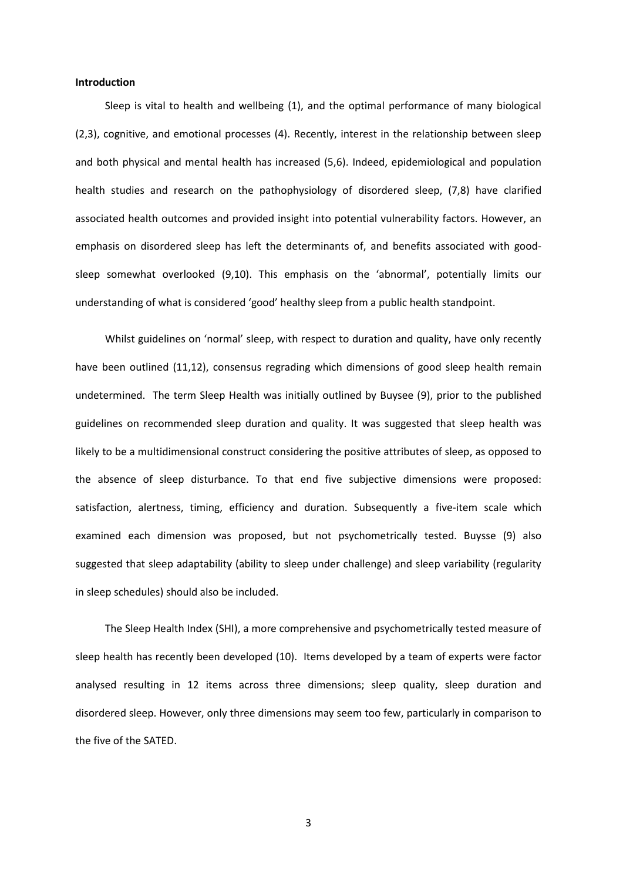### **Introduction**

Sleep is vital to health and wellbeing (1), and the optimal performance of many biological (2,3), cognitive, and emotional processes (4). Recently, interest in the relationship between sleep and both physical and mental health has increased (5,6). Indeed, epidemiological and population health studies and research on the pathophysiology of disordered sleep, (7,8) have clarified associated health outcomes and provided insight into potential vulnerability factors. However, an emphasis on disordered sleep has left the determinants of, and benefits associated with goodsleep somewhat overlooked (9,10). This emphasis on the 'abnormal', potentially limits our understanding of what is considered 'good' healthy sleep from a public health standpoint.

Whilst guidelines on 'normal' sleep, with respect to duration and quality, have only recently have been outlined (11,12), consensus regrading which dimensions of good sleep health remain undetermined. The term Sleep Health was initially outlined by Buysee (9), prior to the published guidelines on recommended sleep duration and quality. It was suggested that sleep health was likely to be a multidimensional construct considering the positive attributes of sleep, as opposed to the absence of sleep disturbance. To that end five subjective dimensions were proposed: satisfaction, alertness, timing, efficiency and duration. Subsequently a five-item scale which examined each dimension was proposed, but not psychometrically tested. Buysse (9) also suggested that sleep adaptability (ability to sleep under challenge) and sleep variability (regularity in sleep schedules) should also be included.

The Sleep Health Index (SHI), a more comprehensive and psychometrically tested measure of sleep health has recently been developed (10). Items developed by a team of experts were factor analysed resulting in 12 items across three dimensions; sleep quality, sleep duration and disordered sleep. However, only three dimensions may seem too few, particularly in comparison to the five of the SATED.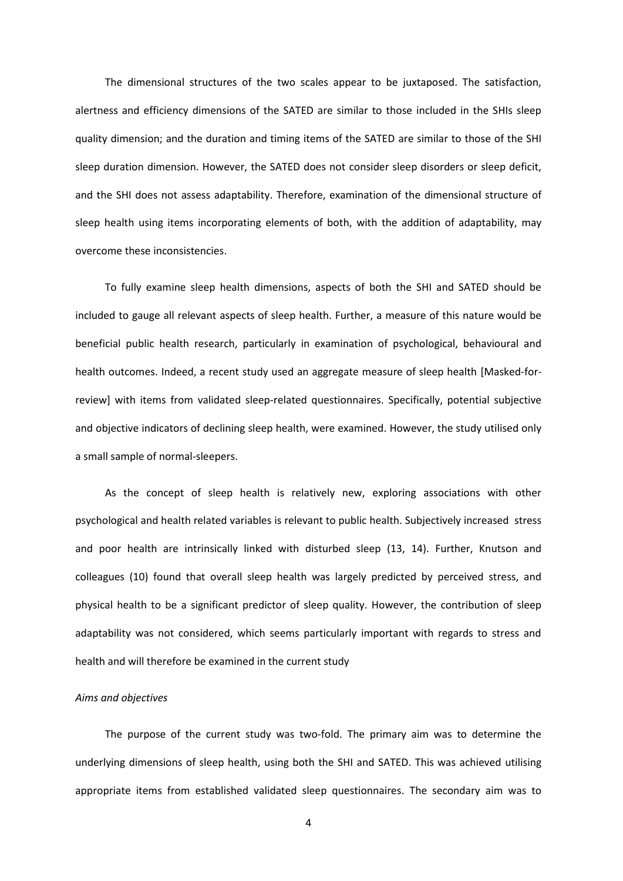The dimensional structures of the two scales appear to be juxtaposed. The satisfaction, alertness and efficiency dimensions of the SATED are similar to those included in the SHIs sleep quality dimension; and the duration and timing items of the SATED are similar to those of the SHI sleep duration dimension. However, the SATED does not consider sleep disorders or sleep deficit, and the SHI does not assess adaptability. Therefore, examination of the dimensional structure of sleep health using items incorporating elements of both, with the addition of adaptability, may overcome these inconsistencies.

To fully examine sleep health dimensions, aspects of both the SHI and SATED should be included to gauge all relevant aspects of sleep health. Further, a measure of this nature would be beneficial public health research, particularly in examination of psychological, behavioural and health outcomes. Indeed, a recent study used an aggregate measure of sleep health [Masked-forreview] with items from validated sleep-related questionnaires. Specifically, potential subjective and objective indicators of declining sleep health, were examined. However, the study utilised only a small sample of normal-sleepers.

As the concept of sleep health is relatively new, exploring associations with other psychological and health related variables is relevant to public health. Subjectively increased stress and poor health are intrinsically linked with disturbed sleep (13, 14). Further, Knutson and colleagues (10) found that overall sleep health was largely predicted by perceived stress, and physical health to be a significant predictor of sleep quality. However, the contribution of sleep adaptability was not considered, which seems particularly important with regards to stress and health and will therefore be examined in the current study

#### *Aims and objectives*

The purpose of the current study was two-fold. The primary aim was to determine the underlying dimensions of sleep health, using both the SHI and SATED. This was achieved utilising appropriate items from established validated sleep questionnaires. The secondary aim was to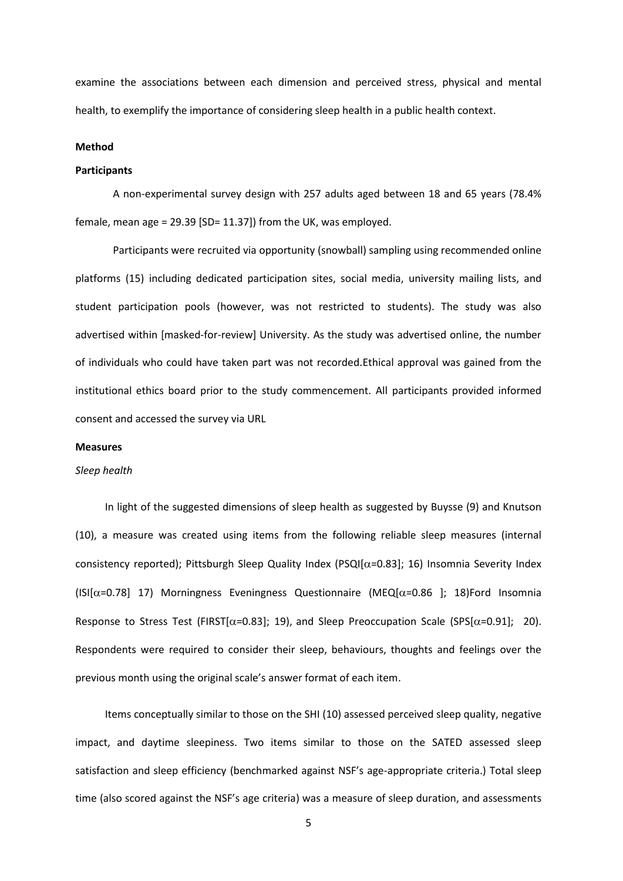examine the associations between each dimension and perceived stress, physical and mental health, to exemplify the importance of considering sleep health in a public health context.

### **Method**

### **Participants**

A non-experimental survey design with 257 adults aged between 18 and 65 years (78.4% female, mean age = 29.39 [SD= 11.37]) from the UK, was employed.

Participants were recruited via opportunity (snowball) sampling using recommended online platforms (15) including dedicated participation sites, social media, university mailing lists, and student participation pools (however, was not restricted to students). The study was also advertised within [masked-for-review] University. As the study was advertised online, the number of individuals who could have taken part was not recorded.Ethical approval was gained from the institutional ethics board prior to the study commencement. All participants provided informed consent and accessed the survey via URL

### **Measures**

#### *Sleep health*

In light of the suggested dimensions of sleep health as suggested by Buysse (9) and Knutson (10), a measure was created using items from the following reliable sleep measures (internal consistency reported); Pittsburgh Sleep Quality Index (PSQI[ $\alpha$ =0.83]; 16) Insomnia Severity Index  $(ISI[\alpha=0.78]$  17) Morningness Eveningness Questionnaire (MEQ $[\alpha=0.86$  ]; 18)Ford Insomnia Response to Stress Test (FIRST[ $\alpha$ =0.83]; 19), and Sleep Preoccupation Scale (SPS[ $\alpha$ =0.91]; 20). Respondents were required to consider their sleep, behaviours, thoughts and feelings over the previous month using the original scale's answer format of each item.

Items conceptually similar to those on the SHI (10) assessed perceived sleep quality, negative impact, and daytime sleepiness. Two items similar to those on the SATED assessed sleep satisfaction and sleep efficiency (benchmarked against NSF's age-appropriate criteria.) Total sleep time (also scored against the NSF's age criteria) was a measure of sleep duration, and assessments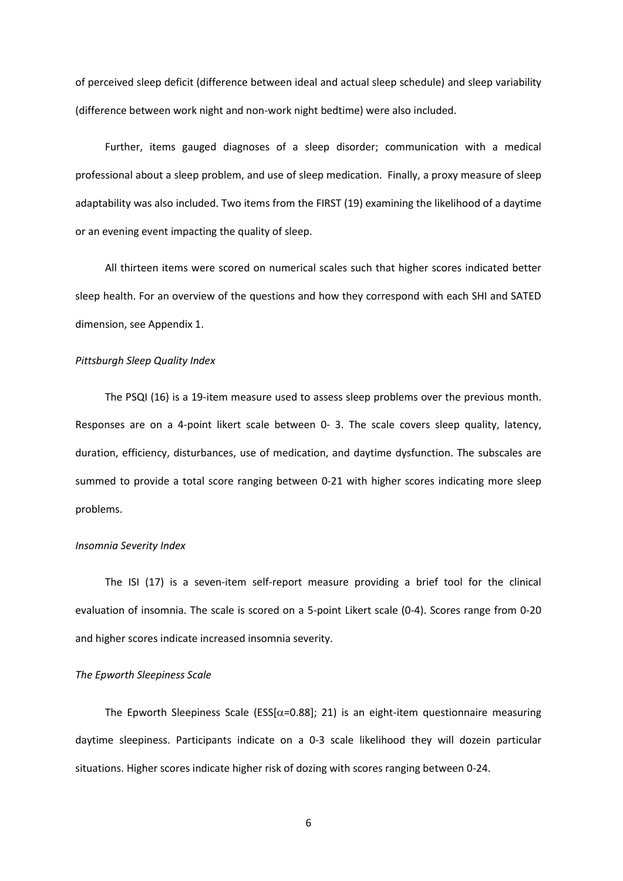of perceived sleep deficit (difference between ideal and actual sleep schedule) and sleep variability (difference between work night and non-work night bedtime) were also included.

Further, items gauged diagnoses of a sleep disorder; communication with a medical professional about a sleep problem, and use of sleep medication. Finally, a proxy measure of sleep adaptability was also included. Two items from the FIRST (19) examining the likelihood of a daytime or an evening event impacting the quality of sleep.

All thirteen items were scored on numerical scales such that higher scores indicated better sleep health. For an overview of the questions and how they correspond with each SHI and SATED dimension, see Appendix 1.

### *Pittsburgh Sleep Quality Index*

The PSQI (16) is a 19-item measure used to assess sleep problems over the previous month. Responses are on a 4-point likert scale between 0- 3. The scale covers sleep quality, latency, duration, efficiency, disturbances, use of medication, and daytime dysfunction. The subscales are summed to provide a total score ranging between 0-21 with higher scores indicating more sleep problems.

### *Insomnia Severity Index*

The ISI (17) is a seven-item self-report measure providing a brief tool for the clinical evaluation of insomnia. The scale is scored on a 5-point Likert scale (0-4). Scores range from 0-20 and higher scores indicate increased insomnia severity.

#### *The Epworth Sleepiness Scale*

The Epworth Sleepiness Scale (ESS[ $\alpha$ =0.88]; 21) is an eight-item questionnaire measuring daytime sleepiness. Participants indicate on a 0-3 scale likelihood they will dozein particular situations. Higher scores indicate higher risk of dozing with scores ranging between 0-24.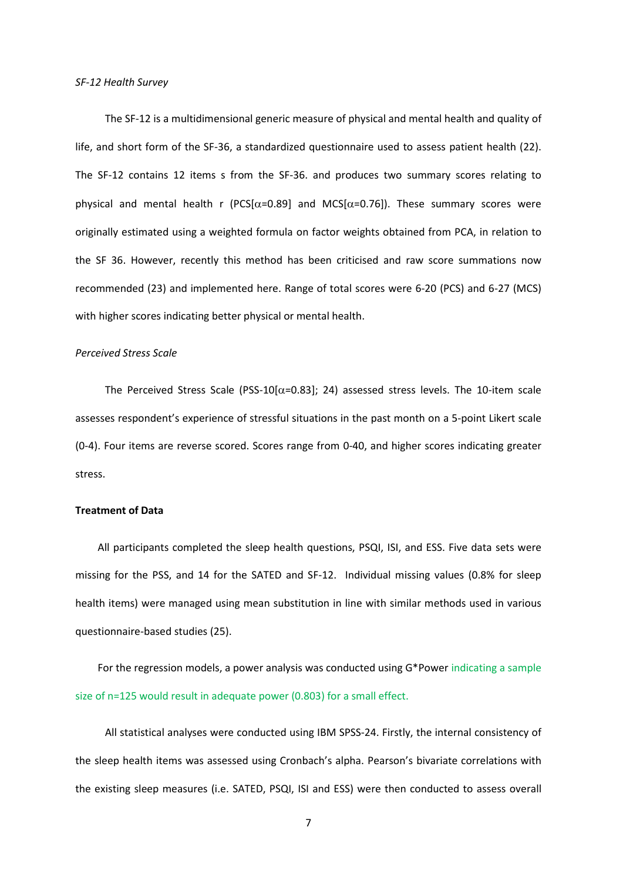#### *SF-12 Health Survey*

The SF-12 is a multidimensional generic measure of physical and mental health and quality of life, and short form of the SF-36, a standardized questionnaire used to assess patient health (22). The SF-12 contains 12 items s from the SF-36. and produces two summary scores relating to physical and mental health r (PCS[ $\alpha$ =0.89] and MCS[ $\alpha$ =0.76]). These summary scores were originally estimated using a weighted formula on factor weights obtained from PCA, in relation to the SF 36. However, recently this method has been criticised and raw score summations now recommended (23) and implemented here. Range of total scores were 6-20 (PCS) and 6-27 (MCS) with higher scores indicating better physical or mental health.

### *Perceived Stress Scale*

The Perceived Stress Scale (PSS-10[ $\alpha$ =0.83]; 24) assessed stress levels. The 10-item scale assesses respondent's experience of stressful situations in the past month on a 5-point Likert scale (0-4). Four items are reverse scored. Scores range from 0-40, and higher scores indicating greater stress.

## **Treatment of Data**

All participants completed the sleep health questions, PSQI, ISI, and ESS. Five data sets were missing for the PSS, and 14 for the SATED and SF-12. Individual missing values (0.8% for sleep health items) were managed using mean substitution in line with similar methods used in various questionnaire-based studies (25).

For the regression models, a power analysis was conducted using G\*Power indicating a sample size of n=125 would result in adequate power (0.803) for a small effect.

All statistical analyses were conducted using IBM SPSS-24. Firstly, the internal consistency of the sleep health items was assessed using Cronbach's alpha. Pearson's bivariate correlations with the existing sleep measures (i.e. SATED, PSQI, ISI and ESS) were then conducted to assess overall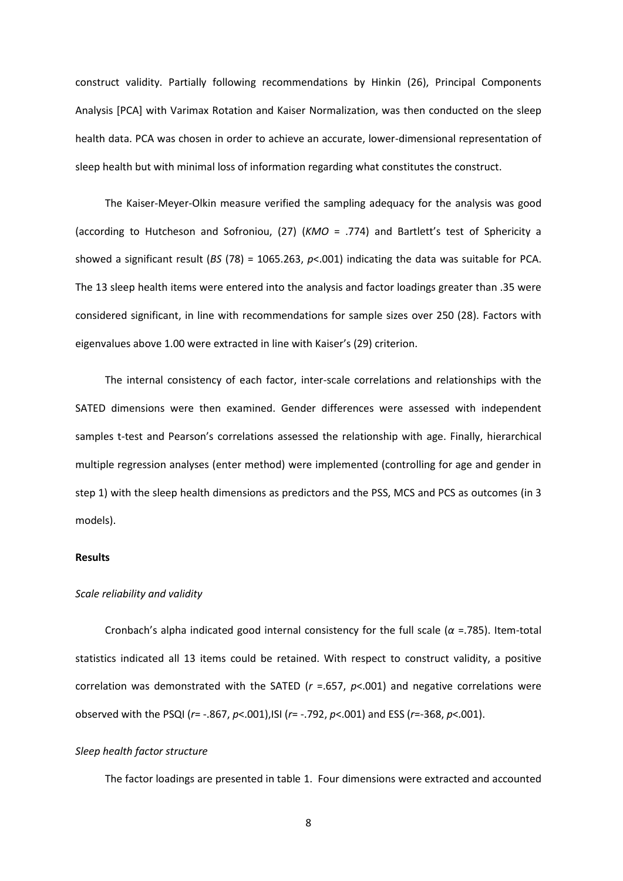construct validity. Partially following recommendations by Hinkin (26), Principal Components Analysis [PCA] with Varimax Rotation and Kaiser Normalization, was then conducted on the sleep health data. PCA was chosen in order to achieve an accurate, lower-dimensional representation of sleep health but with minimal loss of information regarding what constitutes the construct.

The Kaiser-Meyer-Olkin measure verified the sampling adequacy for the analysis was good (according to Hutcheson and Sofroniou, (27) (*KMO* = .774) and Bartlett's test of Sphericity a showed a significant result (*BS* (78) = 1065.263, *p*<.001) indicating the data was suitable for PCA. The 13 sleep health items were entered into the analysis and factor loadings greater than .35 were considered significant, in line with recommendations for sample sizes over 250 (28). Factors with eigenvalues above 1.00 were extracted in line with Kaiser's (29) criterion.

The internal consistency of each factor, inter-scale correlations and relationships with the SATED dimensions were then examined. Gender differences were assessed with independent samples t-test and Pearson's correlations assessed the relationship with age. Finally, hierarchical multiple regression analyses (enter method) were implemented (controlling for age and gender in step 1) with the sleep health dimensions as predictors and the PSS, MCS and PCS as outcomes (in 3 models).

### **Results**

### *Scale reliability and validity*

Cronbach's alpha indicated good internal consistency for the full scale ( $\alpha$  =.785). Item-total statistics indicated all 13 items could be retained. With respect to construct validity, a positive correlation was demonstrated with the SATED (*r* =.657, *p*<.001) and negative correlations were observed with the PSQI (*r*= -.867, *p*<.001),ISI (*r*= -.792, *p*<.001) and ESS (*r*=-368, *p*<.001).

#### *Sleep health factor structure*

The factor loadings are presented in table 1. Four dimensions were extracted and accounted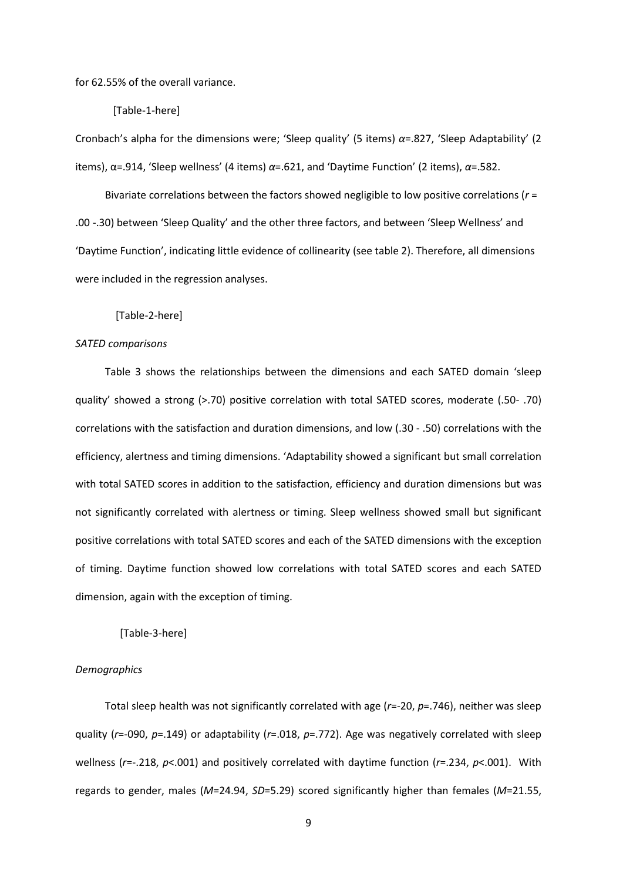for 62.55% of the overall variance.

[Table-1-here]

Cronbach's alpha for the dimensions were; 'Sleep quality' (5 items) *α*=.827, 'Sleep Adaptability' (2 items), α=.914, 'Sleep wellness' (4 items) *α*=.621, and 'Daytime Function' (2 items), *α*=.582.

Bivariate correlations between the factors showed negligible to low positive correlations (*r* = .00 -.30) between 'Sleep Quality' and the other three factors, and between 'Sleep Wellness' and 'Daytime Function', indicating little evidence of collinearity (see table 2). Therefore, all dimensions were included in the regression analyses.

[Table-2-here]

### *SATED comparisons*

Table 3 shows the relationships between the dimensions and each SATED domain 'sleep quality' showed a strong (>.70) positive correlation with total SATED scores, moderate (.50- .70) correlations with the satisfaction and duration dimensions, and low (.30 - .50) correlations with the efficiency, alertness and timing dimensions. 'Adaptability showed a significant but small correlation with total SATED scores in addition to the satisfaction, efficiency and duration dimensions but was not significantly correlated with alertness or timing. Sleep wellness showed small but significant positive correlations with total SATED scores and each of the SATED dimensions with the exception of timing. Daytime function showed low correlations with total SATED scores and each SATED dimension, again with the exception of timing.

[Table-3-here]

### *Demographics*

Total sleep health was not significantly correlated with age (*r*=-20, *p*=.746), neither was sleep quality (*r*=-090, *p*=.149) or adaptability (*r*=.018, *p*=.772). Age was negatively correlated with sleep wellness (*r*=-.218, *p*<.001) and positively correlated with daytime function (*r*=.234, *p*<.001). With regards to gender, males (*M*=24.94, *SD*=5.29) scored significantly higher than females (*M*=21.55,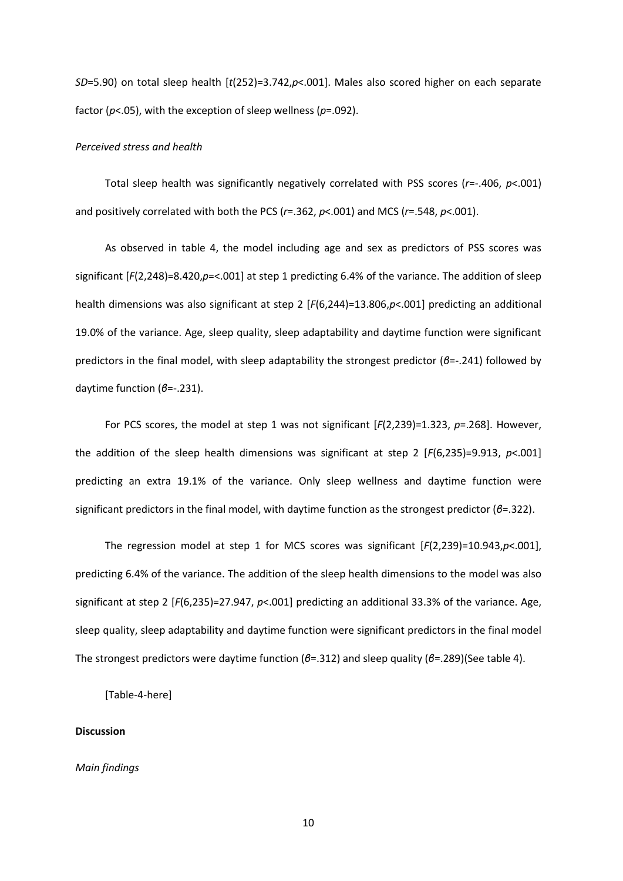*SD*=5.90) on total sleep health [*t*(252)=3.742,*p*<.001]. Males also scored higher on each separate factor (*p*<.05), with the exception of sleep wellness (*p*=.092).

#### *Perceived stress and health*

Total sleep health was significantly negatively correlated with PSS scores (*r*=-.406, *p*<.001) and positively correlated with both the PCS (*r*=.362, *p*<.001) and MCS (*r*=.548, *p*<.001).

As observed in table 4, the model including age and sex as predictors of PSS scores was significant [*F*(2,248)=8.420,*p*=<.001] at step 1 predicting 6.4% of the variance. The addition of sleep health dimensions was also significant at step 2 [*F*(6,244)=13.806,*p*<.001] predicting an additional 19.0% of the variance. Age, sleep quality, sleep adaptability and daytime function were significant predictors in the final model, with sleep adaptability the strongest predictor (*β*=-.241) followed by daytime function (*β*=-.231).

For PCS scores, the model at step 1 was not significant [F(2,239)=1.323, p=.268]. However, the addition of the sleep health dimensions was significant at step 2 [*F*(6,235)=9.913, *p*<.001] predicting an extra 19.1% of the variance. Only sleep wellness and daytime function were significant predictors in the final model, with daytime function as the strongest predictor (*β*=.322).

The regression model at step 1 for MCS scores was significant [*F*(2,239)=10.943,*p*<.001], predicting 6.4% of the variance. The addition of the sleep health dimensions to the model was also significant at step 2 [*F*(6,235)=27.947, *p*<.001] predicting an additional 33.3% of the variance. Age, sleep quality, sleep adaptability and daytime function were significant predictors in the final model The strongest predictors were daytime function (*β*=.312) and sleep quality (*β*=.289)(See table 4).

[Table-4-here]

### **Discussion**

### *Main findings*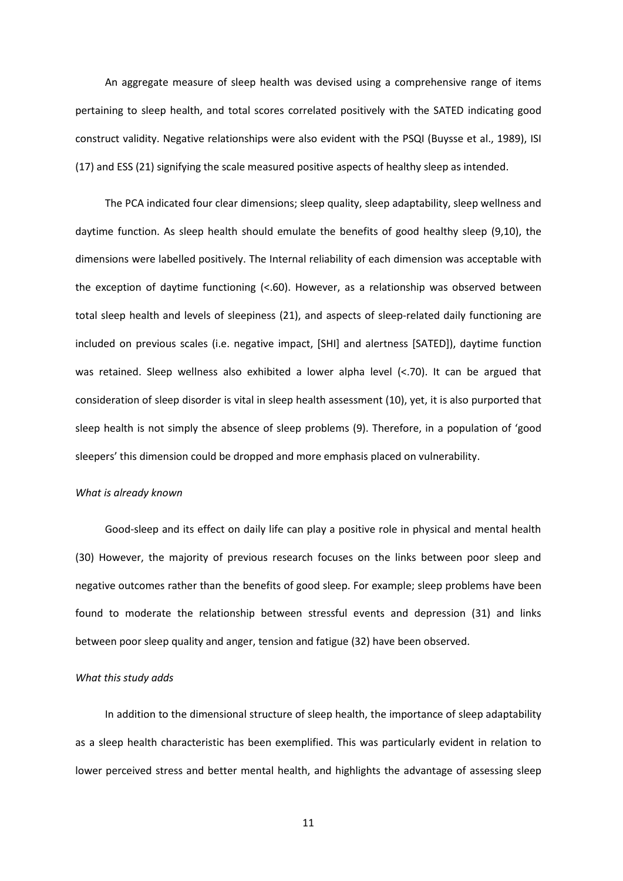An aggregate measure of sleep health was devised using a comprehensive range of items pertaining to sleep health, and total scores correlated positively with the SATED indicating good construct validity. Negative relationships were also evident with the PSQI (Buysse et al., 1989), ISI (17) and ESS (21) signifying the scale measured positive aspects of healthy sleep as intended.

The PCA indicated four clear dimensions; sleep quality, sleep adaptability, sleep wellness and daytime function. As sleep health should emulate the benefits of good healthy sleep (9,10), the dimensions were labelled positively. The Internal reliability of each dimension was acceptable with the exception of daytime functioning (<.60). However, as a relationship was observed between total sleep health and levels of sleepiness (21), and aspects of sleep-related daily functioning are included on previous scales (i.e. negative impact, [SHI] and alertness [SATED]), daytime function was retained. Sleep wellness also exhibited a lower alpha level (<.70). It can be argued that consideration of sleep disorder is vital in sleep health assessment (10), yet, it is also purported that sleep health is not simply the absence of sleep problems (9). Therefore, in a population of 'good sleepers' this dimension could be dropped and more emphasis placed on vulnerability.

#### *What is already known*

Good-sleep and its effect on daily life can play a positive role in physical and mental health (30) However, the majority of previous research focuses on the links between poor sleep and negative outcomes rather than the benefits of good sleep. For example; sleep problems have been found to moderate the relationship between stressful events and depression (31) and links between poor sleep quality and anger, tension and fatigue (32) have been observed.

#### *What this study adds*

In addition to the dimensional structure of sleep health, the importance of sleep adaptability as a sleep health characteristic has been exemplified. This was particularly evident in relation to lower perceived stress and better mental health, and highlights the advantage of assessing sleep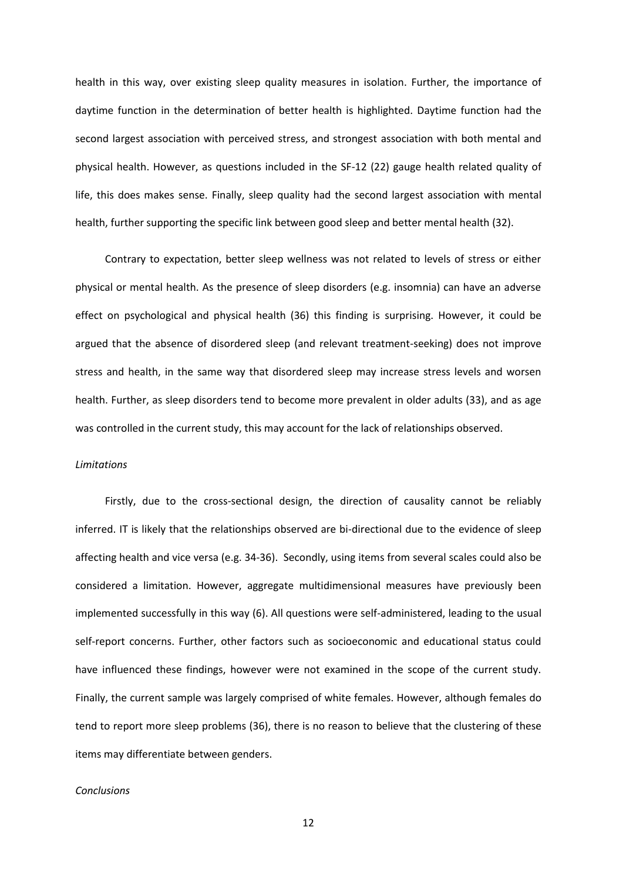health in this way, over existing sleep quality measures in isolation. Further, the importance of daytime function in the determination of better health is highlighted. Daytime function had the second largest association with perceived stress, and strongest association with both mental and physical health. However, as questions included in the SF-12 (22) gauge health related quality of life, this does makes sense. Finally, sleep quality had the second largest association with mental health, further supporting the specific link between good sleep and better mental health (32).

Contrary to expectation, better sleep wellness was not related to levels of stress or either physical or mental health. As the presence of sleep disorders (e.g. insomnia) can have an adverse effect on psychological and physical health (36) this finding is surprising. However, it could be argued that the absence of disordered sleep (and relevant treatment-seeking) does not improve stress and health, in the same way that disordered sleep may increase stress levels and worsen health. Further, as sleep disorders tend to become more prevalent in older adults (33), and as age was controlled in the current study, this may account for the lack of relationships observed.

### *Limitations*

Firstly, due to the cross-sectional design, the direction of causality cannot be reliably inferred. IT is likely that the relationships observed are bi-directional due to the evidence of sleep affecting health and vice versa (e.g. 34-36). Secondly, using items from several scales could also be considered a limitation. However, aggregate multidimensional measures have previously been implemented successfully in this way (6). All questions were self-administered, leading to the usual self-report concerns. Further, other factors such as socioeconomic and educational status could have influenced these findings, however were not examined in the scope of the current study. Finally, the current sample was largely comprised of white females. However, although females do tend to report more sleep problems (36), there is no reason to believe that the clustering of these items may differentiate between genders.

#### *Conclusions*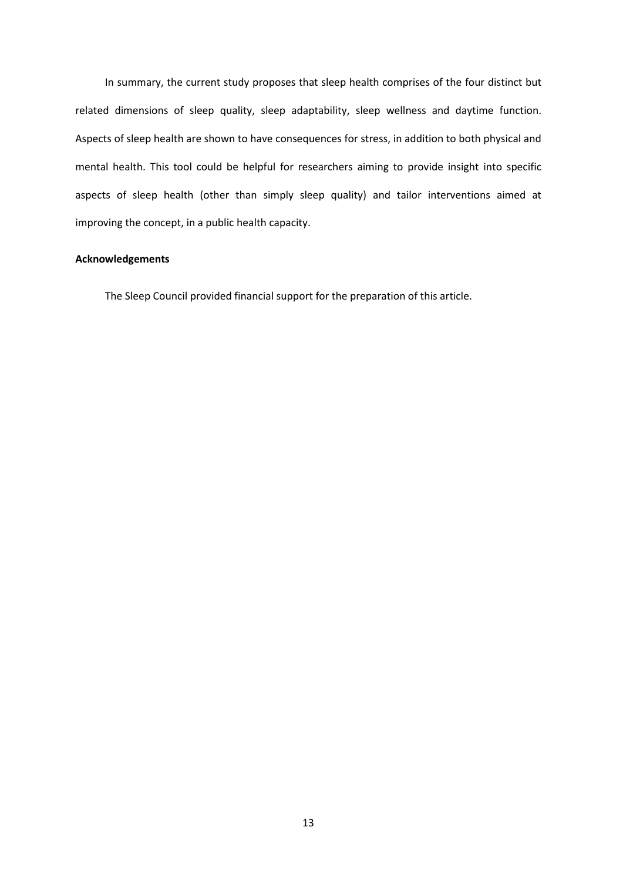In summary, the current study proposes that sleep health comprises of the four distinct but related dimensions of sleep quality, sleep adaptability, sleep wellness and daytime function. Aspects of sleep health are shown to have consequences for stress, in addition to both physical and mental health. This tool could be helpful for researchers aiming to provide insight into specific aspects of sleep health (other than simply sleep quality) and tailor interventions aimed at improving the concept, in a public health capacity.

# **Acknowledgements**

The Sleep Council provided financial support for the preparation of this article.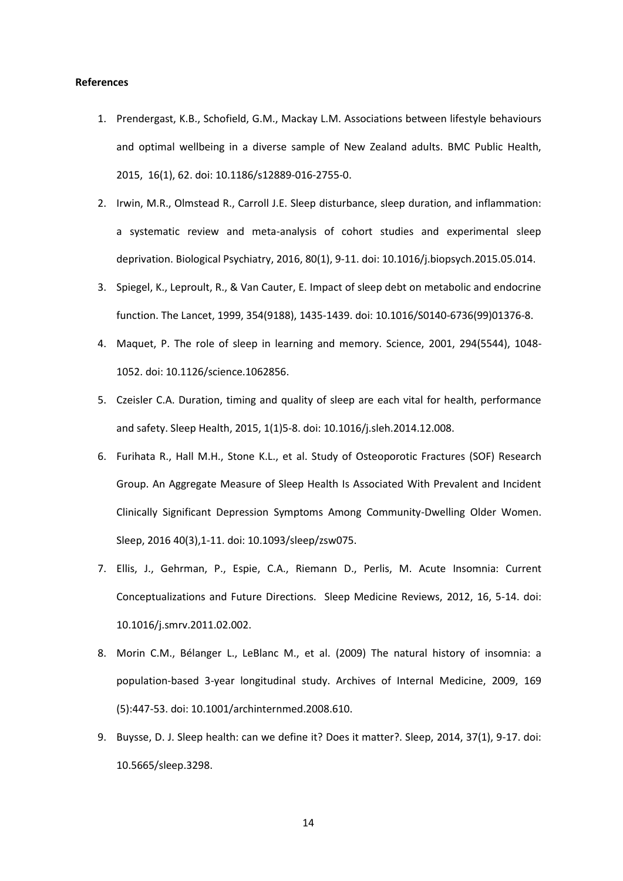### **References**

- 1. Prendergast, K.B., Schofield, G.M., Mackay L.M. Associations between lifestyle behaviours and optimal wellbeing in a diverse sample of New Zealand adults. BMC Public Health, 2015, 16(1), 62. doi: 10.1186/s12889-016-2755-0.
- 2. Irwin, M.R., Olmstead R., Carroll J.E. Sleep disturbance, sleep duration, and inflammation: a systematic review and meta-analysis of cohort studies and experimental sleep deprivation. Biological Psychiatry, 2016, 80(1), 9-11. doi: 10.1016/j.biopsych.2015.05.014.
- 3. Spiegel, K., Leproult, R., & Van Cauter, E. Impact of sleep debt on metabolic and endocrine function. The Lancet, 1999, 354(9188), 1435-1439. doi: 10.1016/S0140-6736(99)01376-8.
- 4. Maquet, P. The role of sleep in learning and memory. Science, 2001, 294(5544), 1048- 1052. doi: 10.1126/science.1062856.
- 5. Czeisler C.A. Duration, timing and quality of sleep are each vital for health, performance and safety. Sleep Health, 2015, 1(1)5-8. doi: 10.1016/j.sleh.2014.12.008.
- 6. Furihata R., Hall M.H., Stone K.L., et al. Study of Osteoporotic Fractures (SOF) Research Group. An Aggregate Measure of Sleep Health Is Associated With Prevalent and Incident Clinically Significant Depression Symptoms Among Community-Dwelling Older Women. Sleep, 2016 40(3),1-11. doi: 10.1093/sleep/zsw075.
- 7. Ellis, J., Gehrman, P., Espie, C.A., Riemann D., Perlis, M. Acute Insomnia: Current Conceptualizations and Future Directions. Sleep Medicine Reviews, 2012, 16, 5-14. doi: 10.1016/j.smrv.2011.02.002.
- 8. Morin C.M., Bélanger L., LeBlanc M., et al. (2009) The natural history of insomnia: a population-based 3-year longitudinal study. Archives of Internal Medicine, 2009, 169 (5):447-53. doi: 10.1001/archinternmed.2008.610.
- 9. Buysse, D. J. Sleep health: can we define it? Does it matter?. Sleep, 2014, 37(1), 9-17. doi: 10.5665/sleep.3298.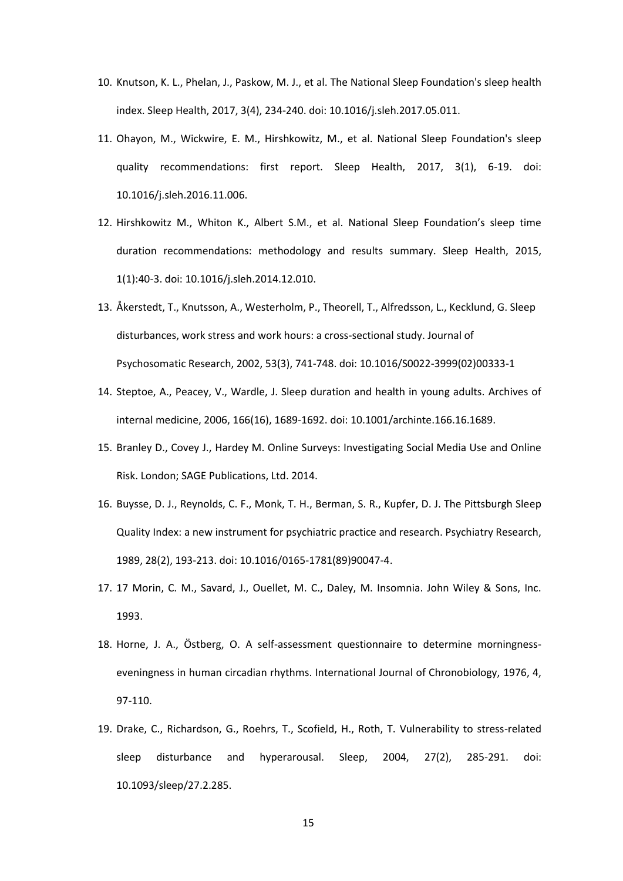- 10. Knutson, K. L., Phelan, J., Paskow, M. J., et al. The National Sleep Foundation's sleep health index. Sleep Health, 2017, 3(4), 234-240. doi: 10.1016/j.sleh.2017.05.011.
- 11. Ohayon, M., Wickwire, E. M., Hirshkowitz, M., et al. National Sleep Foundation's sleep quality recommendations: first report. Sleep Health, 2017, 3(1), 6-19. doi: 10.1016/j.sleh.2016.11.006.
- 12. Hirshkowitz M., Whiton K., Albert S.M., et al. National Sleep Foundation's sleep time duration recommendations: methodology and results summary. Sleep Health, 2015, 1(1):40-3. doi: 10.1016/j.sleh.2014.12.010.
- 13. Åkerstedt, T., Knutsson, A., Westerholm, P., Theorell, T., Alfredsson, L., Kecklund, G. Sleep disturbances, work stress and work hours: a cross-sectional study. Journal of Psychosomatic Research, 2002, 53(3), 741-748. doi: 10.1016/S0022-3999(02)00333-1
- 14. Steptoe, A., Peacey, V., Wardle, J. Sleep duration and health in young adults. Archives of internal medicine, 2006, 166(16), 1689-1692. doi: 10.1001/archinte.166.16.1689.
- 15. Branley D., Covey J., Hardey M. Online Surveys: Investigating Social Media Use and Online Risk. London; SAGE Publications, Ltd. 2014.
- 16. Buysse, D. J., Reynolds, C. F., Monk, T. H., Berman, S. R., Kupfer, D. J. The Pittsburgh Sleep Quality Index: a new instrument for psychiatric practice and research. Psychiatry Research, 1989, 28(2), 193-213. doi: 10.1016/0165-1781(89)90047-4.
- 17. 17 Morin, C. M., Savard, J., Ouellet, M. C., Daley, M. Insomnia. John Wiley & Sons, Inc. 1993.
- 18. Horne, J. A., Östberg, O. A self-assessment questionnaire to determine morningnesseveningness in human circadian rhythms. International Journal of Chronobiology, 1976, 4, 97-110.
- 19. Drake, C., Richardson, G., Roehrs, T., Scofield, H., Roth, T. Vulnerability to stress-related sleep disturbance and hyperarousal. Sleep, 2004, 27(2), 285-291. doi: 10.1093/sleep/27.2.285.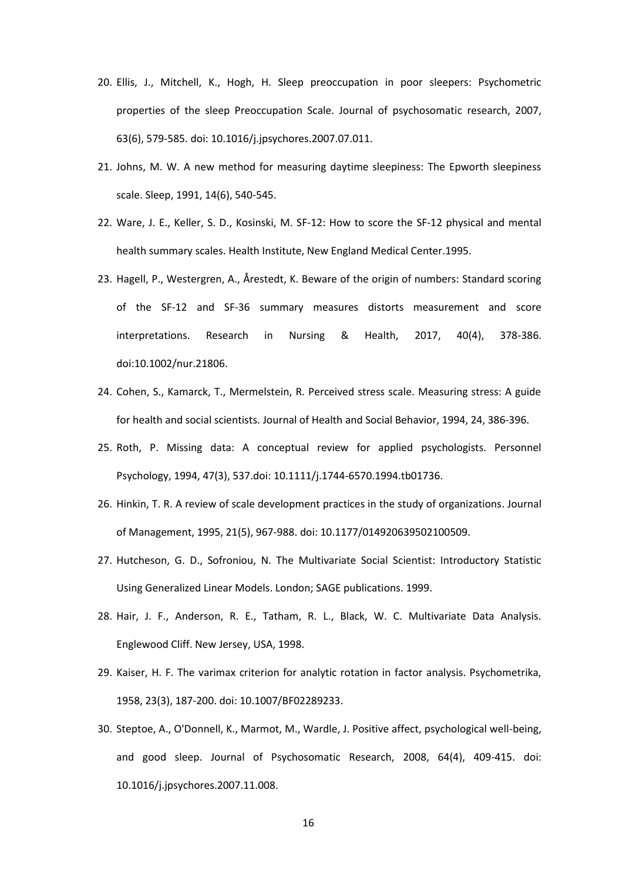- 20. Ellis, J., Mitchell, K., Hogh, H. Sleep preoccupation in poor sleepers: Psychometric properties of the sleep Preoccupation Scale. Journal of psychosomatic research, 2007, 63(6), 579-585. doi: 10.1016/j.jpsychores.2007.07.011.
- 21. Johns, M. W. A new method for measuring daytime sleepiness: The Epworth sleepiness scale. Sleep, 1991, 14(6), 540-545.
- 22. Ware, J. E., Keller, S. D., Kosinski, M. SF-12: How to score the SF-12 physical and mental health summary scales. Health Institute, New England Medical Center.1995.
- 23. Hagell, P., Westergren, A., Årestedt, K. Beware of the origin of numbers: Standard scoring of the SF‐12 and SF‐36 summary measures distorts measurement and score interpretations. Research in Nursing & Health, 2017, 40(4), 378-386. doi:10.1002/nur.21806.
- 24. Cohen, S., Kamarck, T., Mermelstein, R. Perceived stress scale. Measuring stress: A guide for health and social scientists. Journal of Health and Social Behavior, 1994, 24, 386-396.
- 25. Roth, P. Missing data: A conceptual review for applied psychologists. Personnel Psychology, 1994, 47(3), 537.doi: 10.1111/j.1744-6570.1994.tb01736.
- 26. Hinkin, T. R. A review of scale development practices in the study of organizations. Journal of Management, 1995, 21(5), 967-988. doi: 10.1177/014920639502100509.
- 27. Hutcheson, G. D., Sofroniou, N. The Multivariate Social Scientist: Introductory Statistic Using Generalized Linear Models. London; SAGE publications. 1999.
- 28. Hair, J. F., Anderson, R. E., Tatham, R. L., Black, W. C. Multivariate Data Analysis. Englewood Cliff. New Jersey, USA, 1998.
- 29. Kaiser, H. F. The varimax criterion for analytic rotation in factor analysis. Psychometrika, 1958, 23(3), 187-200. doi: 10.1007/BF02289233.
- 30. Steptoe, A., O'Donnell, K., Marmot, M., Wardle, J. Positive affect, psychological well-being, and good sleep. Journal of Psychosomatic Research, 2008, 64(4), 409-415. doi: 10.1016/j.jpsychores.2007.11.008.